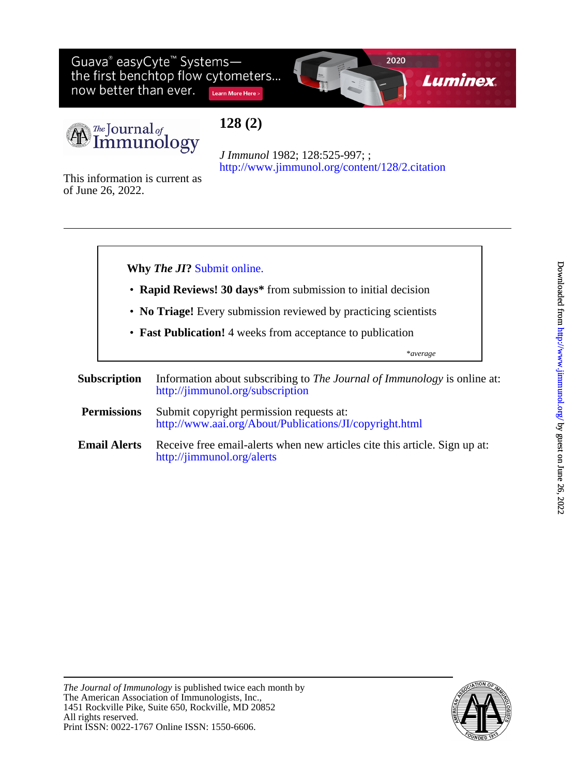Guava® easyCyte<sup>™</sup> Systemsthe first benchtop flow cytometers... now better than ever. Learn More Here >





# **128 (2)**

<http://www.jimmunol.org/content/128/2.citation> *J Immunol* 1982; 128:525-997; ;

of June 26, 2022. This information is current as



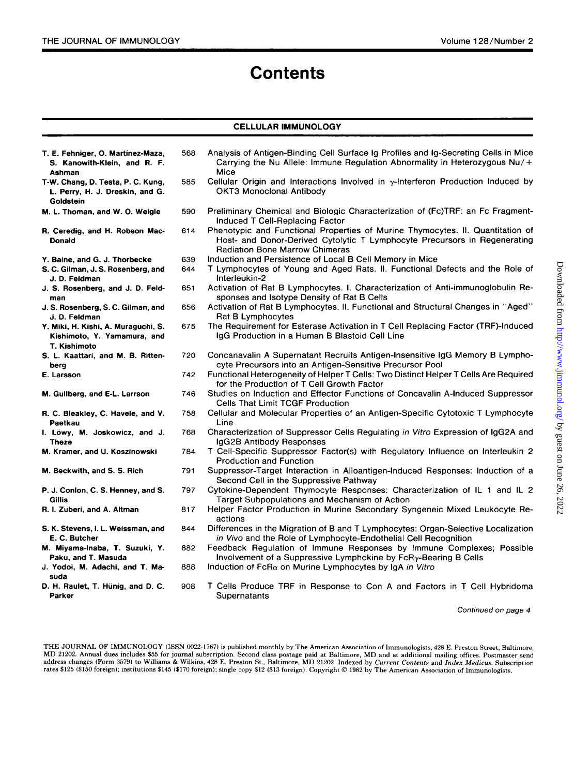# **Contents**

## **CELLULAR IMMUNOLOGY**

| T. E. Fehniger, O. Martínez-Maza,<br>S. Kanowith-Klein, and R. F.<br>Ashman        | 568 | Analysis of Antigen-Binding Cell Surface Ig Profiles and Ig-Secreting Cells in Mice<br>Carrying the Nu Allele: Immune Regulation Abnormality in Heterozygous $Nu/+$<br>Mice                          |  |
|------------------------------------------------------------------------------------|-----|------------------------------------------------------------------------------------------------------------------------------------------------------------------------------------------------------|--|
| T-W. Chang, D. Testa, P. C. Kung,<br>L. Perry, H. J. Dreskin, and G.<br>Goldstein  | 585 | Cellular Origin and Interactions Involved in $\gamma$ -Interferon Production Induced by<br><b>OKT3 Monoclonal Antibody</b>                                                                           |  |
| M. L. Thoman, and W. O. Weigle                                                     | 590 | Preliminary Chemical and Biologic Characterization of (Fc)TRF: an Fc Fragment-<br>Induced T Cell-Replacing Factor                                                                                    |  |
| R. Ceredig, and H. Robson Mac-<br><b>Donald</b>                                    | 614 | Phenotypic and Functional Properties of Murine Thymocytes. II. Quantitation of<br>Host- and Donor-Derived Cytolytic T Lymphocyte Precursors in Regenerating<br><b>Radiation Bone Marrow Chimeras</b> |  |
| Y. Baine, and G. J. Thorbecke                                                      | 639 | Induction and Persistence of Local B Cell Memory in Mice                                                                                                                                             |  |
| S. C. Gilman, J. S. Rosenberg, and<br>J. D. Feldman                                | 644 | T Lymphocytes of Young and Aged Rats. II. Functional Defects and the Role of<br>Interleukin-2                                                                                                        |  |
| J. S. Rosenberg, and J. D. Feld-<br>man                                            | 651 | Activation of Rat B Lymphocytes. I. Characterization of Anti-immunoglobulin Re-<br>sponses and Isotype Density of Rat B Cells                                                                        |  |
| J. S. Rosenberg, S. C. Gilman, and<br>J. D. Feldman                                | 656 | Activation of Rat B Lymphocytes. II. Functional and Structural Changes in "Aged"<br>Rat B Lymphocytes                                                                                                |  |
| Y. Miki, H. Kishi, A. Muraguchi, S.<br>Kishimoto, Y. Yamamura, and<br>T. Kishimoto | 675 | The Requirement for Esterase Activation in T Cell Replacing Factor (TRF)-Induced<br>IgG Production in a Human B Blastoid Cell Line                                                                   |  |
| S. L. Kaattari, and M. B. Ritten-<br>berg                                          | 720 | Concanavalin A Supernatant Recruits Antigen-Insensitive IgG Memory B Lympho-<br>cyte Precursors into an Antigen-Sensitive Precursor Pool                                                             |  |
| E. Larsson                                                                         | 742 | Functional Heterogeneity of Helper T Cells: Two Distinct Helper T Cells Are Required<br>for the Production of T Cell Growth Factor                                                                   |  |
| M. Gullberg, and E-L. Larrson                                                      | 746 | Studies on Induction and Effector Functions of Concavalin A-Induced Suppressor<br>Cells That Limit TCGF Production                                                                                   |  |
| R. C. Bleakley, C. Havele, and V.<br>Paetkau                                       | 758 | Cellular and Molecular Properties of an Antigen-Specific Cytotoxic T Lymphocyte<br>Line                                                                                                              |  |
| I. Löwy, M. Joskowicz, and J.<br><b>Theze</b>                                      | 768 | Characterization of Suppressor Cells Regulating in Vitro Expression of IgG2A and<br>IgG2B Antibody Responses                                                                                         |  |
| M. Kramer, and U. Koszinowski                                                      | 784 | T Cell-Specific Suppressor Factor(s) with Regulatory Influence on Interleukin 2<br><b>Production and Function</b>                                                                                    |  |
| M. Beckwith, and S. S. Rich                                                        | 791 | Suppressor-Target Interaction in Alloantigen-Induced Responses: Induction of a<br>Second Cell in the Suppressive Pathway                                                                             |  |
| P. J. Conlon, C. S. Henney, and S.<br>Gillis                                       | 797 | Cytokine-Dependent Thymocyte Responses: Characterization of IL 1 and IL 2<br>Target Subpopulations and Mechanism of Action                                                                           |  |
| R. I. Zuberi, and A. Altman                                                        | 817 | Helper Factor Production in Murine Secondary Syngeneic Mixed Leukocyte Re-<br>actions                                                                                                                |  |
| S. K. Stevens, I. L. Weissman, and<br>E. C. Butcher                                | 844 | Differences in the Migration of B and T Lymphocytes: Organ-Selective Localization<br>in Vivo and the Role of Lymphocyte-Endothelial Cell Recognition                                                 |  |
| M. Miyama-Inaba, T. Suzuki, Y.<br>Paku, and T. Masuda                              | 882 | Feedback Regulation of Immune Responses by Immune Complexes; Possible<br>Involvement of a Suppressive Lymphokine by FcRy-Bearing B Cells                                                             |  |
| J. Yodoi, M. Adachi, and T. Ma-<br>suda                                            | 888 | Induction of $FcRa$ on Murine Lymphocytes by IgA in Vitro                                                                                                                                            |  |
| D. H. Raulet, T. Hünig, and D. C.<br>Parker                                        | 908 | T Cells Produce TRF in Response to Con A and Factors in T Cell Hybridoma<br>Supernatants                                                                                                             |  |

*Continued on page 4* 

**THE JOURNAL OF IMMUNOLOGY (ISSN 0022-1767) is published monthly** by **The American Association of Immunologists, 428** E. **Preston Street, Baltimore,**  MD 21202. Annual dues includes \$55 for journal subscription. Second class postage paid at Baltimore, MD and at additional mailing offices. Postmaster send<br>address changes (Form 3579) to Williams & Wilkins, 428 E. Preston S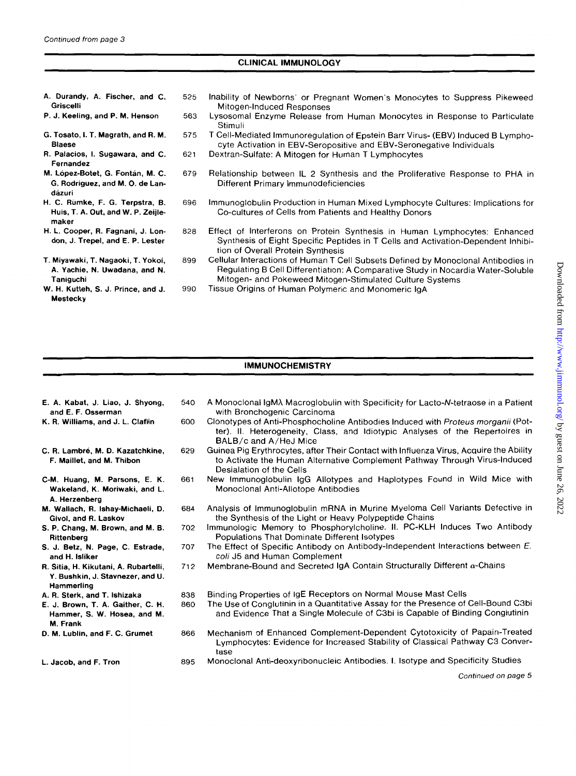Mestecky

| A. Durandy, A. Fischer, and C.<br>Griscelli                                      | 525 | Inability of Newborns' or Pregnant Women's Monocytes to Suppress Pikeweed<br>Mitogen-Induced Responses                                                                                                                            |
|----------------------------------------------------------------------------------|-----|-----------------------------------------------------------------------------------------------------------------------------------------------------------------------------------------------------------------------------------|
| P. J. Keeling, and P. M. Henson                                                  | 563 | Lysosomal Enzyme Release from Human Monocytes in Response to Particulate<br>Stimuli                                                                                                                                               |
| G. Tosato, I. T. Magrath, and R. M.<br><b>Blaese</b>                             | 575 | T Cell-Mediated Immunoregulation of Epstein Barr Virus- (EBV) Induced B Lympho-<br>cyte Activation in EBV-Seropositive and EBV-Seronegative Individuals                                                                           |
| R. Palacios, I. Sugawara, and C.<br>Fernandez                                    | 621 | Dextran-Sulfate: A Mitogen for Human T Lymphocytes                                                                                                                                                                                |
| M. López-Botet, G. Fontán, M. C.<br>G. Rodriguez, and M. O. de Lan-<br>dázuri    | 679 | Relationship between IL 2 Synthesis and the Proliferative Response to PHA in<br>Different Primary Immunodeficiencies                                                                                                              |
| H. C. Rümke, F. G. Terpstra, B.<br>Huis, T. A. Out, and W. P. Zeijle-<br>maker   | 696 | Immunoglobulin Production in Human Mixed Lymphocyte Cultures: Implications for<br>Co-cultures of Cells from Patients and Healthy Donors                                                                                           |
| H. L. Cooper, R. Fagnani, J. Lon-<br>don, J. Trepel, and E. P. Lester            | 828 | Effect of Interferons on Protein Synthesis in Human Lymphocytes: Enhanced<br>Synthesis of Eight Specific Peptides in T Cells and Activation-Dependent Inhibi-<br>tion of Overall Protein Synthesis                                |
| T. Miyawaki, T. Nagaoki, T. Yokoi,<br>A. Yachie, N. Uwadana, and N.<br>Taniguchi | 899 | Cellular Interactions of Human T Cell Subsets Defined by Monoclonal Antibodies in<br>Regulating B Cell Differentiation: A Comparative Study in Nocardia Water-Soluble<br>Mitogen- and Pokeweed Mitogen-Stimulated Culture Systems |
| W. H. Kutteh, S. J. Prince, and J.                                               | 990 | Tissue Origins of Human Polymeric and Monomeric IgA                                                                                                                                                                               |

CLINICAL IMMUNOLOGY

## IMMUNOCHEMISTRY

| E. A. Kabat, J. Liao, J. Shyong,                                                        | 540 | A Monoclonal IgMA Macroglobulin with Specificity for Lacto-N-tetraose in a Patient                                                                                                               |
|-----------------------------------------------------------------------------------------|-----|--------------------------------------------------------------------------------------------------------------------------------------------------------------------------------------------------|
| and E. F. Osserman                                                                      |     | with Bronchogenic Carcinoma                                                                                                                                                                      |
| K. R. Williams, and J. L. Claflin                                                       | 600 | Clonotypes of Anti-Phosphocholine Antibodies Induced with Proteus morganii (Pot-<br>ter). II. Heterogeneity, Class, and Idiotypic Analyses of the Repertoires in<br>BALB/c and A/HeJ Mice        |
| C. R. Lambré, M. D. Kazatchkine,<br>F. Maillet, and M. Thibon                           | 629 | Guinea Pig Erythrocytes, after Their Contact with Influenza Virus, Acquire the Ability<br>to Activate the Human Alternative Complement Pathway Through Virus-Induced<br>Desialation of the Cells |
| C-M. Huang, M. Parsons, E. K.<br>Wakeland, K. Moriwaki, and L.<br>A. Herzenberg         | 661 | New Immunoglobulin IgG Allotypes and Haplotypes Found in Wild Mice with<br>Monoclonal Anti-Allotope Antibodies                                                                                   |
| M. Wallach, R. Ishay-Michaeli, D.<br>Givol, and R. Laskov                               | 684 | Analysis of Immunoglobulin mRNA in Murine Myeloma Cell Variants Defective in<br>the Synthesis of the Light or Heavy Polypeptide Chains                                                           |
| S. P. Chang, M. Brown, and M. B.<br>Rittenberg                                          | 702 | Immunologic Memory to Phosphorylcholine. II. PC-KLH Induces Two Antibody<br>Populations That Dominate Different Isotypes                                                                         |
| S. J. Betz, N. Page, C. Estrade,<br>and H. Isliker                                      | 707 | The Effect of Specific Antibody on Antibody-Independent Interactions between E.<br>coli J5 and Human Complement                                                                                  |
| R. Sitia, H. Kikutani, A. Rubartelli,<br>Y. Bushkin, J. Stavnezer, and U.<br>Hammerling | 712 | Membrane-Bound and Secreted IgA Contain Structurally Different $\alpha$ -Chains                                                                                                                  |
| A. R. Sterk, and T. Ishizaka                                                            | 838 | Binding Properties of IgE Receptors on Normal Mouse Mast Cells                                                                                                                                   |
| E. J. Brown, T. A. Gaither, C. H.<br>Hammer, S. W. Hosea, and M.<br>M. Frank            | 860 | The Use of Conglutinin in a Quantitative Assay for the Presence of Cell-Bound C3bi<br>and Evidence That a Single Molecule of C3bi is Capable of Binding Conglutinin                              |
| D. M. Lublin, and F. C. Grumet                                                          | 866 | Mechanism of Enhanced Complement-Dependent Cytotoxicity of Papain-Treated<br>Lymphocytes: Evidence for Increased Stability of Classical Pathway C3 Conver-<br>tase                               |
| L. Jacob, and F. Tron                                                                   | 895 | Monoclonal Anti-deoxyribonucleic Antibodies. I. Isotype and Specificity Studies                                                                                                                  |
|                                                                                         |     | Continued on page 5                                                                                                                                                                              |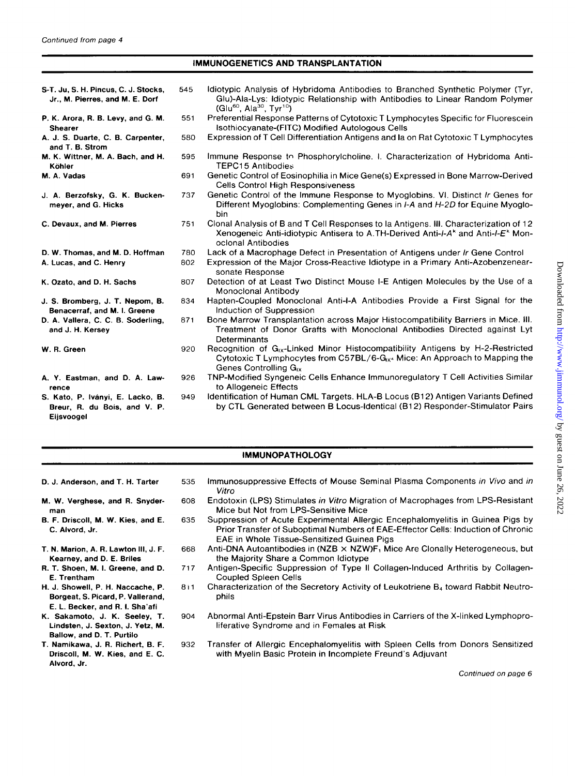| Continued from page 4 |  |  |  |
|-----------------------|--|--|--|
|-----------------------|--|--|--|

#### IMMUNOGENETICS AND TRANSPLANTATION

~ ~~ ~

| S-T. Ju, S. H. Pincus, C. J. Stocks,<br>Jr., M. Pierres, and M. E. Dorf        | 545 | Idiotypic Analysis of Hybridoma Antibodies to Branched Synthetic Polymer (Tyr,<br>Glu)-Ala-Lys: Idiotypic Relationship with Antibodies to Linear Random Polymer<br>$(Glu^{60}, Ala^{30}, Tyr^{10})$                           |  |  |
|--------------------------------------------------------------------------------|-----|-------------------------------------------------------------------------------------------------------------------------------------------------------------------------------------------------------------------------------|--|--|
| P. K. Arora, R. B. Levy, and G. M.<br><b>Shearer</b>                           | 551 | Preferential Response Patterns of Cytotoxic T Lymphocytes Specific for Fluorescein<br>Isothiocyanate-(FITC) Modified Autologous Cells                                                                                         |  |  |
| A. J. S. Duarte, C. B. Carpenter,<br>and T. B. Strom                           | 580 | Expression of T Cell Differentiation Antigens and Ia on Rat Cytotoxic T Lymphocytes                                                                                                                                           |  |  |
| M. K. Wittner, M. A. Bach, and H.<br>Köhler                                    | 595 | Immune Response to Phosphorylcholine. I. Characterization of Hybridoma Anti-<br>TEPC15 Antibodies                                                                                                                             |  |  |
| M. A. Vadas                                                                    | 691 | Genetic Control of Eosinophilia in Mice Gene(s) Expressed in Bone Marrow-Derived<br><b>Cells Control High Responsiveness</b>                                                                                                  |  |  |
| J. A. Berzofsky, G. K. Bucken-<br>meyer, and G. Hicks                          | 737 | Genetic Control of the Immune Response to Myoglobins. VI. Distinct Ir Genes for<br>Different Myoglobins: Complementing Genes in I-A and H-2D for Equine Myoglo-<br>bin                                                        |  |  |
| C. Devaux, and M. Pierres                                                      | 751 | Clonal Analysis of B and T Cell Responses to la Antigens. III. Characterization of 12<br>Xenogeneic Anti-idiotypic Antisera to A.TH-Derived Anti-I-A <sup>k</sup> and Anti-I-E <sup>k</sup> Mon-<br>oclonal Antibodies        |  |  |
| D. W. Thomas, and M. D. Hoffman                                                | 780 | Lack of a Macrophage Defect in Presentation of Antigens under Ir Gene Control                                                                                                                                                 |  |  |
| A. Lucas, and C. Henry                                                         | 802 | Expression of the Major Cross-Reactive Idiotype in a Primary Anti-Azobenzenear-<br>sonate Response                                                                                                                            |  |  |
| K. Ozato, and D. H. Sachs                                                      | 807 | Detection of at Least Two Distinct Mouse I-E Antigen Molecules by the Use of a<br>Monoclonal Antibody                                                                                                                         |  |  |
| J. S. Bromberg, J. T. Nepom, B.<br>Benacerraf, and M. I. Greene                | 834 | Hapten-Coupled Monoclonal Anti-I-A Antibodies Provide a First Signal for the<br>Induction of Suppression                                                                                                                      |  |  |
| D. A. Vallera, C. C. B. Soderling,<br>and J. H. Kersey                         | 871 | Bone Marrow Transplantation across Major Histocompatibility Barriers in Mice. III.<br>Treatment of Donor Grafts with Monoclonal Antibodies Directed against Lyt<br>Determinants                                               |  |  |
| W. R. Green                                                                    | 920 | Recognition of $G_{1x}$ -Linked Minor Histocompatibility Antigens by H-2-Restricted<br>Cytotoxic T Lymphocytes from C57BL/6-G <sub>IX<sup>4</sup></sub> Mice: An Approach to Mapping the<br>Genes Controlling G <sub>ix</sub> |  |  |
| A. Y. Eastman, and D. A. Law-<br>rence                                         | 926 | TNP-Modified Syngeneic Cells Enhance Immunoregulatory T Cell Activities Similar<br>to Allogeneic Effects                                                                                                                      |  |  |
| S. Kato, P. Iványi, E. Lacko, B.<br>Breur, R. du Bois, and V. P.<br>Eijsvoogel | 949 | Identification of Human CML Targets. HLA-B Locus (B12) Antigen Variants Defined<br>by CTL Generated between B Locus-Identical (B12) Responder-Stimulator Pairs                                                                |  |  |

## IMMUNOPATHOLOGY

- D. J. Anderson, and T. H. Tarter
- **M.** W. Verghese, and **R.** Snyderman
- B. **F.** Driscoll, **M.** W. Kies, and E. C. Alvord, Jr.

635

71 7

- T. N. Marion, **A. R.** Lawton **111, J. F.**  Kearney, and D. E. Briles
- **R.** T. Shoen, **M. I.** Greene, and D. E. Trentham
- H. **J.** Showell, **P.** H. Naccache, P. Borgeat, **S.** Picard, P. Vallerand, E. L. Becker, and **R. 1.** Sha'afi
- K. Sakamoto, J. K. Seeley, **T.**  Lindsten, J. Sexton, **J.** Yetz, **M.**  Ballow, and D. T. Purtilo
- **T.** Namikawa, J. **R.** Richert, B. **F.**  Driscoll, **M.** W. Kies, and E. C. Alvord, Jr.
- 535 608 Immunosuppressive Effects of Mouse Seminal Plasma Components *in Vivo* and *in Vitro*  Endotoxin (LPS) Stimulates *in Vitro* Migration of Macrophages from LPS-Resistant
	- Mice but Not from LPS-Sensitive Mice Suppression of Acute Experimental Allergic Encephalomyelitis in Guinea Pigs by Prior Transfer of Suboptimal Numbers of EAE-Effector Cells: Induction of Chronic EAE in Whole Tissue-Sensitized Guinea Pigs
- 668 Anti-DNA Autoantibodies in (NZB  $\times$  NZW)F<sub>1</sub> Mice Are Clonally Heterogeneous, but the Majority Share a Common ldiotype
	- Antigen-Specific Suppression of Type II Collagen-Induced Arthritis by Collagen-Coupled Spleen Cells
- 811 Characterization of the Secretory Activity of Leukotriene B<sub>4</sub> toward Rabbit Neutrophils
- 904 Abnormal Anti-Epstein Barr Virus Antibodies in Carriers of the X-linked Lymphoproliferative Syndrome and in Females at Risk
- 932 Transfer of Allergic Encephalomyelitis with Spleen Cells from Donors Sensitized with Myelin Basic Protein in Incomplete Freund's Adjuvant